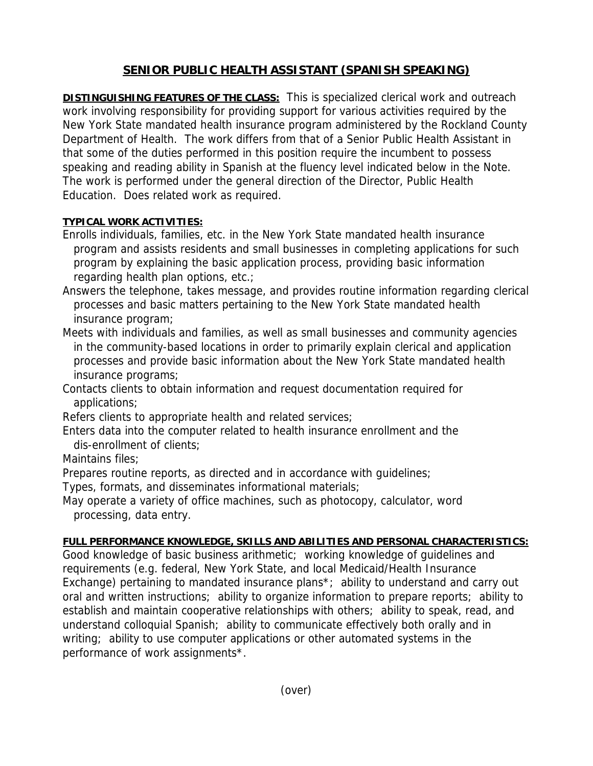## **SENIOR PUBLIC HEALTH ASSISTANT (SPANISH SPEAKING)**

**DISTINGUISHING FEATURES OF THE CLASS:** This is specialized clerical work and outreach work involving responsibility for providing support for various activities required by the New York State mandated health insurance program administered by the Rockland County Department of Health. The work differs from that of a Senior Public Health Assistant in that some of the duties performed in this position require the incumbent to possess speaking and reading ability in Spanish at the fluency level indicated below in the Note. The work is performed under the general direction of the Director, Public Health Education. Does related work as required.

## **TYPICAL WORK ACTIVITIES:**

- Enrolls individuals, families, etc. in the New York State mandated health insurance program and assists residents and small businesses in completing applications for such program by explaining the basic application process, providing basic information regarding health plan options, etc.;
- Answers the telephone, takes message, and provides routine information regarding clerical processes and basic matters pertaining to the New York State mandated health insurance program;
- Meets with individuals and families, as well as small businesses and community agencies in the community-based locations in order to primarily explain clerical and application processes and provide basic information about the New York State mandated health insurance programs;

Contacts clients to obtain information and request documentation required for applications;

Refers clients to appropriate health and related services;

Enters data into the computer related to health insurance enrollment and the dis-enrollment of clients;

Maintains files;

Prepares routine reports, as directed and in accordance with guidelines;

Types, formats, and disseminates informational materials;

May operate a variety of office machines, such as photocopy, calculator, word processing, data entry.

## **FULL PERFORMANCE KNOWLEDGE, SKILLS AND ABILITIES AND PERSONAL CHARACTERISTICS:**

Good knowledge of basic business arithmetic; working knowledge of guidelines and requirements (e.g. federal, New York State, and local Medicaid/Health Insurance Exchange) pertaining to mandated insurance plans<sup>\*</sup>; ability to understand and carry out oral and written instructions; ability to organize information to prepare reports; ability to establish and maintain cooperative relationships with others; ability to speak, read, and understand colloquial Spanish; ability to communicate effectively both orally and in writing; ability to use computer applications or other automated systems in the performance of work assignments\*.